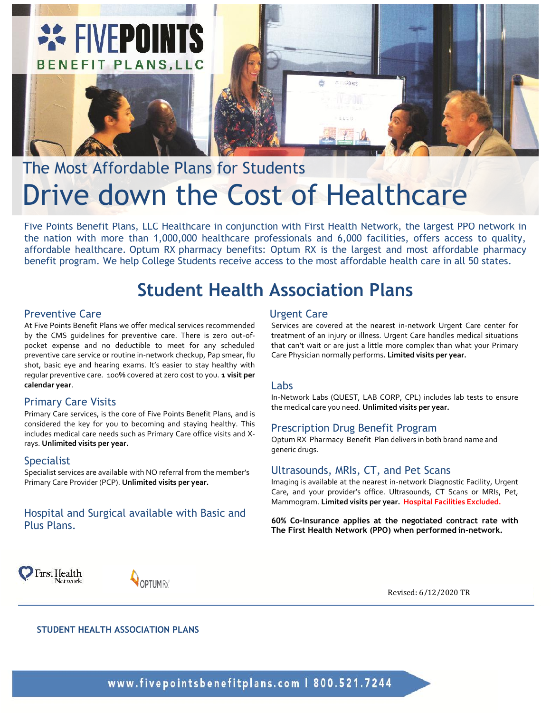

# The Most Affordable Plans for Students Drive down the Cost of Healthcare

Five Points Benefit Plans, LLC Healthcare in conjunction with First Health Network, the largest PPO network in the nation with more than 1,000,000 healthcare professionals and 6,000 facilities, offers access to quality, affordable healthcare. Optum RX pharmacy benefits: Optum RX is the largest and most affordable pharmacy benefit program. We help College Students receive access to the most affordable health care in all 50 states.

### **Student Health Association Plans**

#### Preventive Care

At Five Points Benefit Plans we offer medical services recommended by the CMS guidelines for preventive care. There is zero out-ofpocket expense and no deductible to meet for any scheduled preventive care service or routine in-network checkup, Pap smear, flu shot, basic eye and hearing exams. It's easier to stay healthy with regular preventive care. 100% covered at zero cost to you. **1 visit per calendar year**.

#### Primary Care Visits

Primary Care services, is the core of Five Points Benefit Plans, and is considered the key for you to becoming and staying healthy. This includes medical care needs such as Primary Care office visits and Xrays. **Unlimited visits per year.**

#### Specialist

Specialist services are available with NO referral from the member's Primary Care Provider (PCP). **Unlimited visits per year.**

#### Hospital and Surgical available with Basic and Plus Plans.

#### Urgent Care

Services are covered at the nearest in-network Urgent Care center for treatment of an injury or illness. Urgent Care handles medical situations that can't wait or are just a little more complex than what your Primary Care Physician normally performs**. Limited visits per year.**

#### Labs

In-Network Labs (QUEST, LAB CORP, CPL) includes lab tests to ensure the medical care you need. **Unlimited visits per year.**

#### Prescription Drug Benefit Program

Optum RX Pharmacy Benefit Plan delivers in both brand name and generic drugs.

#### Ultrasounds, MRIs, CT, and Pet Scans

Imaging is available at the nearest in-network Diagnostic Facility, Urgent Care, and your provider's office. Ultrasounds, CT Scans or MRIs, Pet, Mammogram. **Limited visits per year. Hospital Facilities Excluded.**

**60% Co-Insurance applies at the negotiated contract rate with The First Health Network (PPO) when performed in-network.**





Revised: 6/12/2020 TR

**STUDENT HEALTH ASSOCIATION PLANS**